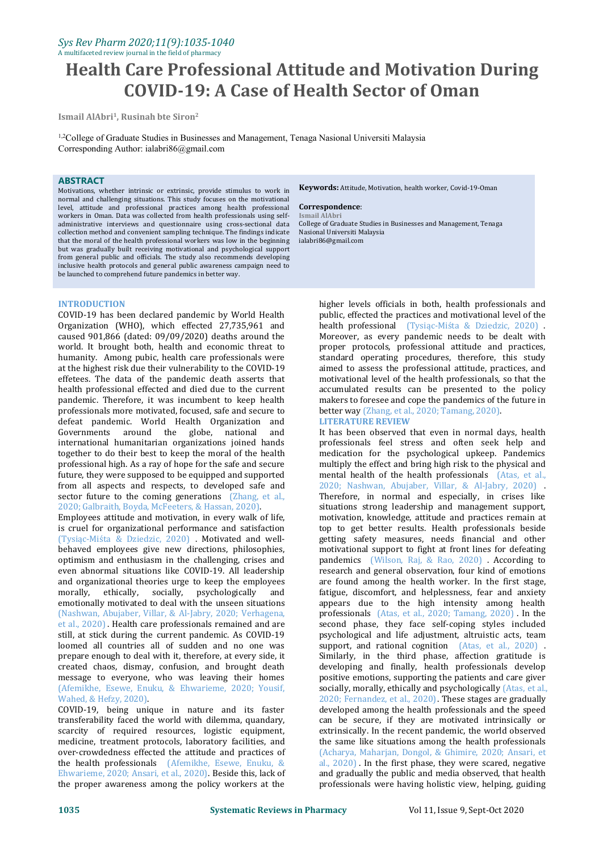## *Sys Rev Pharm 2020;11(9):1035-1040* A multifaceted review journal in the field of pharmacy

# **Health Care Professional Attitude and Motivation During COVID-19: A Case of Health Sector of Oman**

**Ismail AlAbri<sup>1</sup> , Rusinah bte Siron 2**

<sup>1,2</sup>College of Graduate Studies in Businesses and Management, Tenaga Nasional Universiti Malaysia Corresponding Author: ialabri86@gmail.com

## **ABSTRACT**

Motivations, whether intrinsic or extrinsic, provide stimulus to work in normal and challenging situations. This study focuses on the motivational level, attitude and professional practices among health professional **Correspond**<br>workers in Oman, Data was collected from health professionals using self- Ismail AlAbri workers in Oman. Data was collected from health professionals using selfadministrative interviews and questionnaire using cross-sectional data collection method and convenient sampling technique. The findings indicate that the moral of the health professional workers was low in the beginning but was gradually built receiving motivational and psychological support from general public and officials. The study also recommends developing inclusive health protocols and general public awareness campaign need to be launched to comprehend future pandemics in better way.

## **INTRODUCTION**

COVID-19 has been declared pandemic by World Health Organization (WHO), which effected 27,735,961 and caused 901,866 (dated: 09/09/2020) deaths around the world. It brought both, health and economic threat to humanity. Among pubic, health care professionals were at the highest risk due their vulnerability to the COVID-19 effetees. The data of the pandemic death asserts that health professional effected and died due to the current pandemic. Therefore, it was incumbent to keep health professionals more motivated, focused, safe and secure to better way (Zhang, et al defeat pandemic. World Health Organization and **LITERATURE REVIEW** defeat pandemic. World Health Organization and<br>Governments around the globe national and Governments around the globe, national international humanitarian organizations joined hands together to do their best to keep the moral of the health professional high. As a ray of hope for the safe and secure future, they were supposed to be equipped and supported from all aspects and respects, to developed safe and sector future to the coming generations (Zhang, et al., 2020; Galbraith, Boyda, McFeeters, & Hassan, 2020).

Employees attitude and motivation, in every walk of life, is cruel for organizational performance and satisfaction (Tysiąc-Miśta & Dziedzic, 2020) . Motivated and well behaved employees give new directions, philosophies, optimism and enthusiasm in the challenging, crises and even abnormal situations like COVID-19. All leadership and organizational theories urge to keep the employees morally, ethically, socially, psychologically and ethically, socially, emotionally motivated to deal with the unseen situations (Nashwan, Abujaber, Villar, & Al-Jabry, 2020; Verhagena, et al., 2020). Health care professionals remained and are still, at stick during the current pandemic. As COVID-19 loomed all countries all of sudden and no one was prepare enough to deal with it, therefore, at every side, it created chaos, dismay, confusion, and brought death message to everyone, who was leaving their homes (Afemikhe, Esewe, Enuku, & Ehwarieme, 2020; Yousif, Wahed, & Hefzy, 2020).

COVID-19, being unique in nature and its faster transferability faced the world with dilemma, quandary, scarcity of required resources, logistic equipment, medicine, treatment protocols, laboratory facilities, and over-crowdedness effected the attitude and practices of the health professionals (Afemikhe, Esewe, Enuku, & Ehwarieme, 2020; Ansari, et al., 2020). Beside this, lack of the proper awareness among the policy workers at the

**Keywords:** Attitude, Motivation, health worker, Covid-19-Oman

### $Correspondence:$

College of Graduate Studies in Businesses and Management, Tenaga Nasional Universiti Malaysia ialabri86@gmail.com

higher levels officials in both, health professionals and public, effected the practices and motivational level of the health professional (Tysiąc-Miśta & Dziedzic, 2020). Moreover, as every pandemic needs to be dealt with proper protocols, professional attitude and practices, standard operating procedures, therefore, this study aimed to assess the professional attitude, practices, and motivational level of the health professionals, so that the accumulated results can be presented to the policy makers to foresee and cope the pandemics of the future in better way (Zhang, et al., 2020; Tamang, 2020).

It has been observed that even in normal days, health professionals feel stress and often seek help and medication for the psychological upkeep. Pandemics multiply the effect and bring high risk to the physical and mental health of the health professionals (Atas, et al., 2020; Nashwan, Abujaber, Villar, & Al-Jabry, 2020) . Therefore, in normal and especially, in crises like situations strong leadership and management support, motivation, knowledge, attitude and practices remain at top to get better results. Health professionals beside getting safety measures, needs financial and other motivational support to fight at front lines for defeating pandemics (Wilson, Raj, & Rao, 2020) . According to research and general observation, four kind of emotions are found among the health worker. In the first stage, fatigue, discomfort, and helplessness, fear and anxiety appears due to the high intensity among health professionals (Atas, et al., 2020; Tamang, 2020) . In the second phase, they face self-coping styles included psychological and life adjustment, altruistic acts, team support, and rational cognition (Atas, et al., 2020). Similarly, in the third phase, affection gratitude is developing and finally, health professionals develop positive emotions, supporting the patients and care giver socially, morally, ethically and psychologically (Atas, et al., 2020; Fernandez, et al., 2020). These stages are gradually developed among the health professionals and the speed can be secure, if they are motivated intrinsically or extrinsically. In the recent pandemic, the world observed the same like situations among the health professionals (Acharya, Maharjan, Dongol, & Ghimire, 2020; Ansari, et al., 2020) . In the first phase, they were scared, negative and gradually the public and media observed, that health professionals were having holistic view, helping, guiding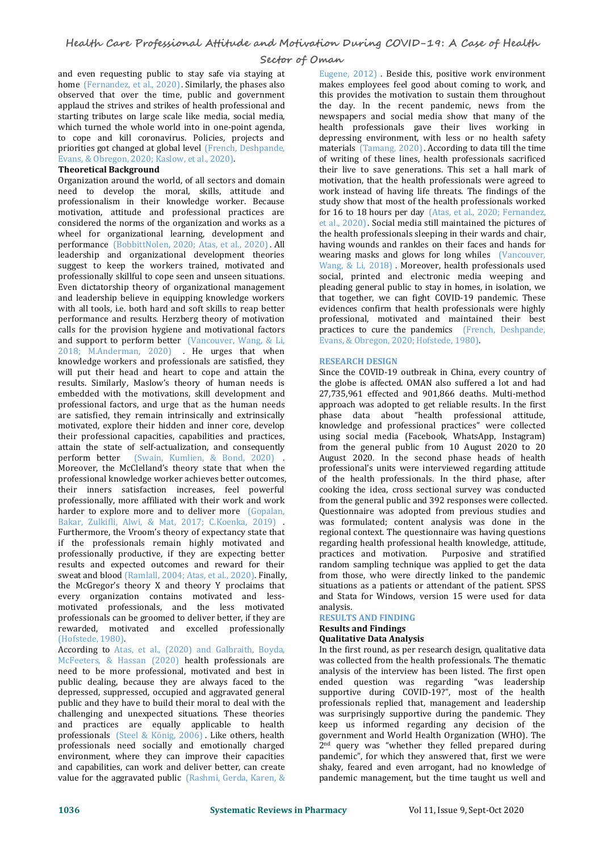and even requesting public to stay safe via staying at home (Fernandez, et al., 2020). Similarly, the phases also observed that over the time, public and government applaud the strives and strikes of health professional and starting tributes on large scale like media, social media, which turned the whole world into in one-point agenda, to cope and kill coronavirus. Policies, projects and priorities got changed at global level (French, Deshpande, Evans, & Obregon, 2020; Kaslow, et al., 2020). **Theoretical Background**

Organization around the world, of all sectors and domain need to develop the moral, skills, attitude and professionalism in their knowledge worker. Because motivation, attitude and professional practices are considered the norms of the organization and works as a wheel for organizational learning, development and performance (BobbittNolen, 2020; Atas, et al., 2020). All leadership and organizational development theories suggest to keep the workers trained, motivated and professionally skillful to cope seen and unseen situations. Even dictatorship theory of organizational management and leadership believe in equipping knowledge workers with all tools, i.e. both hard and soft skills to reap better performance and results. Herzberg theory of motivation calls for the provision hygiene and motivational factors and support to perform better (Vancouver, Wang, & Li, 2018; M.Anderman, 2020) . He urges that when knowledge workers and professionals are satisfied, they will put their head and heart to cope and attain the results. Similarly, Maslow's theory of human needs is embedded with the motivations, skill development and professional factors, and urge that as the human needs are satisfied, they remain intrinsically and extrinsically motivated, explore their hidden and inner core, develop their professional capacities, capabilities and practices, attain the state of self-actualization, and consequently perform better (Swain, Kumlien, & Bond, 2020) . Moreover, the McClelland's theory state that when the professional knowledge worker achieves better outcomes, their inners satisfaction increases, feel powerful professionally, more affiliated with their work and work harder to explore more and to deliver more (Gopalan, Bakar, Zulkifli, Alwi, & Mat, 2017; C.Koenka, 2019) . Furthermore, the Vroom's theory of expectancy state that if the professionals remain highly motivated and professionally productive, if they are expecting better results and expected outcomes and reward for their sweat and blood (Ramlall, 2004; Atas, et al., 2020). Finally, the McGregor's theory X and theory Y proclaims that every organization contains motivated and less-<br>motivated professionals and the less motivated analysis motivated professionals, and the less motivated professionals can be groomed to deliver better, if they are rewarded, motivated and excelled professionally (Hofstede, 1980).

According to Atas, et al., (2020) and Galbraith, Boyda, McFeeters, & Hassan (2020) health professionals are need to be more professional, motivated and best in public dealing, because they are always faced to the depressed, suppressed, occupied and aggravated general public and they have to build their moral to deal with the challenging and unexpected situations. These theories and practices are equally applicable to health professionals (Steel & König, 2006) . Like others, health professionals need socially and emotionally charged environment, where they can improve their capacities and capabilities, can work and deliver better, can create value for the aggravated public (Rashmi, Gerda, Karen, &

Eugene, 2012) . Beside this, positive work environment makes employees feel good about coming to work, and this provides the motivation to sustain them throughout the day. In the recent pandemic, news from the newspapers and social media show that manyof the health professionals gave their lives working in depressing environment, with less or no health safety materials (Tamang, 2020). According to data till the time of writing of these lines, health professionals sacrificed their live to save generations. This set a hall mark of motivation, that the health professionals were agreed to work instead of having life threats. The findings of the study show that most of the health professionals worked for 16 to 18 hours per day (Atas, et al., 2020; Fernandez, et al., 2020). Social media still maintained the pictures of the health professionals sleeping in their wards and chair, having wounds and rankles on their faces and hands for wearing masks and glows for long whiles (Vancouver, Wang, & Li, 2018). Moreover, health professionals used social, printed and electronic media weeping and pleading general public to stay in homes, in isolation, we that together, we can fight COVID-19 pandemic. These evidences confirm that health professionals were highly professional, motivated and maintained their best practices to cure the pandemics (French, Deshpande, Evans, & Obregon, 2020; Hofstede, 1980).

## **RESEARCH DESIGN**

Since the COVID-19 outbreak in China, every country of the globe is affected. OMAN also suffered a lot and had 27,735,961 effected and 901,866 deaths. Multi-method approach was adopted to get reliable results. In the first phase data about "health professional attitude, knowledge and professional practices" were collected using social media (Facebook, WhatsApp, Instagram) from the general public from 10 August 2020 to 20 August 2020. In the second phase heads of health professional's units were interviewed regarding attitude of the health professionals. In the third phase, after cooking the idea, cross sectional survey was conducted from the general public and 392 responses were collected. Questionnaire was adopted from previous studies and was formulated; content analysis was done in the regional context. The questionnaire was having questions regarding health professional health knowledge, attitude, practices and motivation. Purposive and stratified random sampling technique was applied to get the data from those, who were directly linked to the pandemic situations as a patients or attendant of the patient. SPSS and Stata for Windows, version 15 were used for data

## analysis. **RESULTS AND FINDING**

### **Results and Findings Qualitative Data Analysis**

In the first round, as per research design, qualitative data was collected from the health professionals. The thematic analysis of the interview has been listed. The first open ended question was regarding "was leadership supportive during COVID-19?", most of the health professionals replied that, management and leadership was surprisingly supportive during the pandemic. They keep us informed regarding any decision of the government and World Health Organization (WHO). The 2 nd query was "whether they felled prepared during pandemic", for which they answered that, first we were shaky, feared and even arrogant, had no knowledge of pandemic management, but the time taught us well and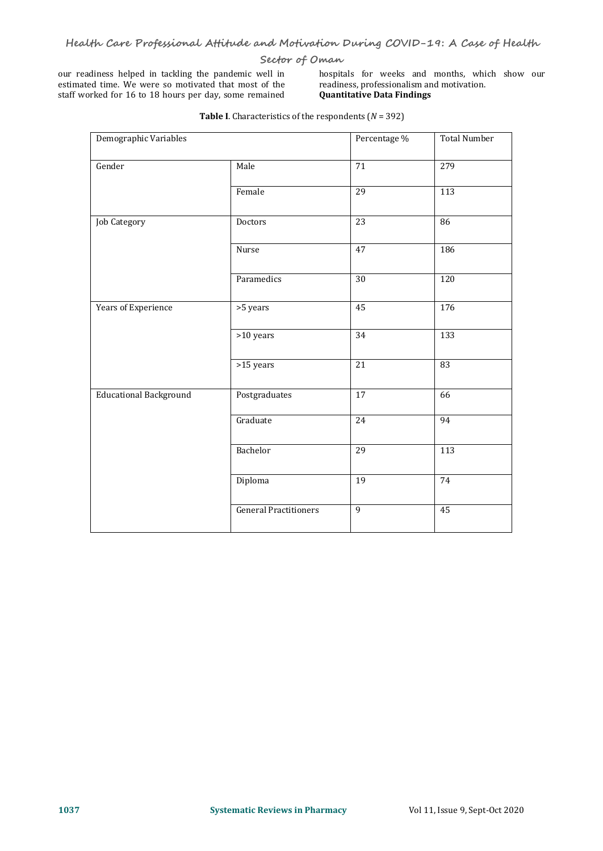our readiness helped in tackling the pandemic well in bospitals for weeks and months, whis estimated time. We were so motivated that most of the readiness, professionalism and motivation. estimated time. We were so motivated that most of the staff worked for 16 to 18 hours per day, some remained

hospitals for weeks and months, which show our readiness, professionalism and motivation. **Quantitative Data Findings**

| Demographic Variables         |                              | Percentage %          | <b>Total Number</b> |
|-------------------------------|------------------------------|-----------------------|---------------------|
| Gender                        | Male                         | $\overline{71}$       | 279                 |
|                               | Female                       | $\overline{29}$       | $\overline{113}$    |
| <b>Job Category</b>           | Doctors                      | $\overline{23}$       | 86                  |
|                               | Nurse                        | 47                    | 186                 |
|                               | Paramedics                   | $\overline{30}$       | $\overline{120}$    |
| Years of Experience           | >5 years                     | 45<br>$\frac{176}{2}$ |                     |
|                               | $>10$ years                  | $\overline{34}$       | $\overline{133}$    |
|                               | >15 years                    | $\overline{21}$       | 83                  |
| <b>Educational Background</b> | Postgraduates                | $\overline{17}$       | 66                  |
|                               | Graduate                     | 24                    | 94                  |
|                               | Bachelor                     | $\overline{29}$       | $\overline{113}$    |
|                               | Diploma                      | $\overline{19}$       | 74                  |
|                               | <b>General Practitioners</b> | $\overline{9}$        | 45                  |

**Table I**. Characteristics of the respondents (*N* = 392)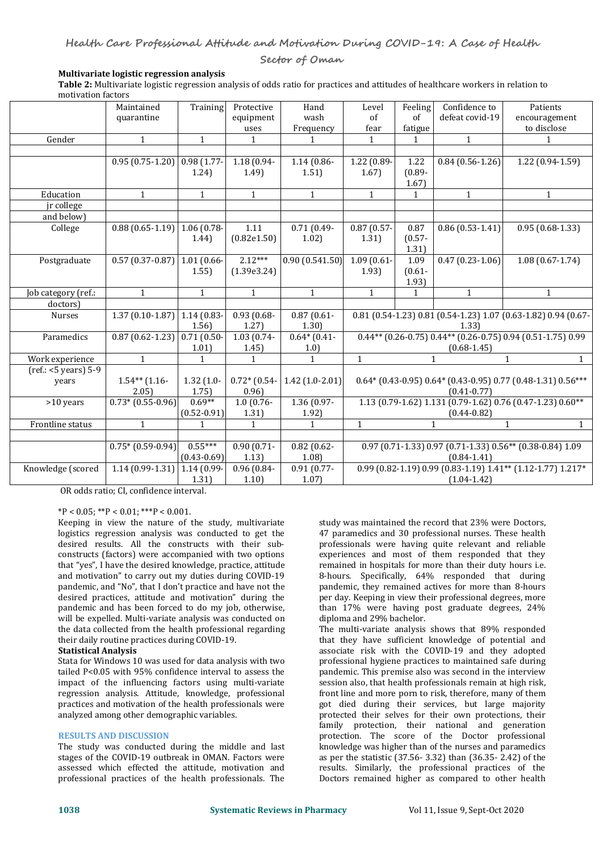## **Multivariate logistic regression analysis**

**Table 2:** Multivariate logistic regression analysis of odds ratio for practices and attitudes of healthcare workers in relation to motivation factors

|                      | Maintained                            | Training                        | Protective               | Hand                  | Level                                                                                                                                                        | Feeling      | Confidence to       | Patients                     |
|----------------------|---------------------------------------|---------------------------------|--------------------------|-----------------------|--------------------------------------------------------------------------------------------------------------------------------------------------------------|--------------|---------------------|------------------------------|
|                      | quarantine                            |                                 | equipment                | wash                  | of                                                                                                                                                           | of           | defeat covid-19     | encouragement                |
|                      |                                       |                                 | uses                     | Frequency             | fear                                                                                                                                                         | fatigue      |                     | to disclose                  |
| Gender               | $\mathbf{1}$                          | $\mathbf{1}$                    | $\mathbf{1}$             |                       | $\mathbf{1}$                                                                                                                                                 | $\mathbf{1}$ | $\mathbf{1}$        | 1                            |
|                      |                                       |                                 |                          |                       |                                                                                                                                                              |              |                     |                              |
|                      | $0.95(0.75-1.20)$ 0.98 (1.77-         |                                 | $1.18(0.94 -$            | $1.14(0.86 -$         | 1.22 (0.89-                                                                                                                                                  | 1.22         | $0.84(0.56 - 1.26)$ | 1.22 (0.94-1.59)             |
|                      |                                       | 1.24)                           | 1.49)                    | 1.51)                 | 1.67)                                                                                                                                                        | $(0.89 -$    |                     |                              |
|                      |                                       |                                 |                          |                       |                                                                                                                                                              | 1.67)        |                     |                              |
| Education            | $\mathbf{1}$                          | 1                               | $\mathbf{1}$             | $\mathbf{1}$          | $\mathbf{1}$                                                                                                                                                 | $\mathbf{1}$ | $\mathbf{1}$        | $\mathbf{1}$                 |
| jr college           |                                       |                                 |                          |                       |                                                                                                                                                              |              |                     |                              |
| and below)           |                                       |                                 |                          |                       |                                                                                                                                                              |              |                     |                              |
| College              | $0.88$ (0.65-1.19) 1.06 (0.78-        |                                 | 1.11                     | $0.71(0.49-$          | $0.87(0.57 -$                                                                                                                                                | 0.87         | $0.86(0.53 - 1.41)$ | $0.95(0.68-1.33)$            |
|                      |                                       | 1.44)                           | (0.82e1.50)              | 1.02)                 | 1.31)                                                                                                                                                        | $(0.57 -$    |                     |                              |
|                      |                                       |                                 |                          |                       |                                                                                                                                                              | 1.31)        |                     |                              |
| Postgraduate         | $0.57(0.37-0.87)$ 1.01 (0.66-         |                                 | $2.12***$                | 0.90(0.541.50)        | $1.09(0.61 -$                                                                                                                                                | 1.09         | $0.47(0.23-1.06)$   | $1.08(0.67 - 1.74)$          |
|                      |                                       | 1.55)                           | (1.39e3.24)              |                       | 1.93                                                                                                                                                         | $(0.61 -$    |                     |                              |
|                      |                                       |                                 |                          |                       |                                                                                                                                                              | 1.93)        |                     |                              |
| Job category (ref.:  | $\mathbf{1}$                          | $\mathbf{1}$                    | $\mathbf{1}$             | $\mathbf{1}$          | $\mathbf{1}$                                                                                                                                                 | $\mathbf{1}$ | $\mathbf{1}$        | $\mathbf{1}$                 |
| doctors)             |                                       |                                 |                          |                       |                                                                                                                                                              |              |                     |                              |
| Nurses               | $1.37(0.10-1.87)$ 1.14 (0.83-         |                                 | $0.93(0.68 -$            | $0.87(0.61 -$         | 0.81 (0.54-1.23) 0.81 (0.54-1.23) 1.07 (0.63-1.82) 0.94 (0.67-<br>1.33                                                                                       |              |                     |                              |
|                      |                                       | 1.56)                           | 1.27)                    | 1.30)                 |                                                                                                                                                              |              |                     |                              |
| Paramedics           | $0.87$ (0.62-1.23) 0.71 (0.50-        |                                 | $\overline{1.03}$ (0.74- | $0.64*(0.41-$         | $0.44**$ (0.26-0.75) 0.44** (0.26-0.75) 0.94 (0.51-1.75) 0.99                                                                                                |              |                     |                              |
|                      |                                       | 1.01)                           | 1.45                     | 1.0)                  | $(0.68 - 1.45)$                                                                                                                                              |              |                     |                              |
| Work experience      | $\mathbf{1}$                          | $\mathbf{1}$                    | $\mathbf{1}$             | 1                     | $\mathbf{1}$                                                                                                                                                 |              | $\mathbf{1}$        | $\mathbf{1}$                 |
| (ref.: <5 years) 5-9 |                                       |                                 |                          |                       | $0.64*(0.43-0.95)0.64*(0.43-0.95)0.77(0.48-1.31)0.56***$<br>$(0.41 - 0.77)$<br>1.13 (0.79-1.62) 1.131 (0.79-1.62) 0.76 (0.47-1.23) 0.60**<br>$(0.44 - 0.82)$ |              |                     |                              |
| years                | $1.54**$ (1.16-                       | $1.32(1.0 -$                    | $0.72*(0.54-$            | $1.42(1.0-2.01)$      |                                                                                                                                                              |              |                     |                              |
|                      | 2.05<br>$\overline{0.73*(0.55-0.96)}$ | 1.75)<br>$0.69**$               | 0.96)                    | $1.36(0.97 -$         |                                                                                                                                                              |              |                     |                              |
| $>10$ years          |                                       |                                 | $1.0(0.76 -$<br>1.31)    |                       |                                                                                                                                                              |              |                     |                              |
|                      | $\mathbf{1}$                          | $(0.52 - 0.91)$<br>$\mathbf{1}$ | $\mathbf{1}$             | 1.92)<br>$\mathbf{1}$ | $\mathbf{1}$                                                                                                                                                 |              | $\mathbf{1}$        | $\mathbf{1}$<br>$\mathbf{1}$ |
| Frontline status     |                                       |                                 |                          |                       |                                                                                                                                                              |              |                     |                              |
|                      |                                       | $0.55***$                       |                          |                       |                                                                                                                                                              |              |                     |                              |
|                      | $0.75*(0.59-0.94)$                    | $(0.43 - 0.69)$                 | $0.90(0.71 -$<br>1.13)   | $0.82(0.62 -$<br>1.08 | 0.97 (0.71-1.33) 0.97 (0.71-1.33) 0.56** (0.38-0.84) 1.09<br>$(0.84 - 1.41)$                                                                                 |              |                     |                              |
| Knowledge (scored    | $1.14(0.99-1.31)$ 1.14 (0.99-         |                                 | 0.96 (0.84-              | $0.91(0.77 -$         | 0.99 (0.82-1.19) 0.99 (0.83-1.19) 1.41** (1.12-1.77) 1.217*                                                                                                  |              |                     |                              |
|                      |                                       | 1.31)                           | 1.10)                    | 1.07)                 |                                                                                                                                                              |              | $(1.04 - 1.42)$     |                              |
|                      |                                       |                                 |                          |                       |                                                                                                                                                              |              |                     |                              |

OR odds ratio; CI, confidence interval.

 $*P < 0.05$ ;  $*P < 0.01$ ;  $**P < 0.001$ .

Keeping in view the nature of the study, multivariate logistics regression analysis was conducted to get the desired results. All the constructs with their sub constructs (factors) were accompanied with two options that "yes", I have the desired knowledge, practice, attitude and motivation" to carry out my duties during COVID-19 pandemic, and "No", that I don't practice and have not the desired practices, attitude and motivation" during the pandemic and has been forced to do my job, otherwise, will be expelled. Multi-variate analysis was conducted on the data collected from the health professional regarding their daily routine practices during COVID-19. **Statistical Analysis**

Stata for Windows 10 was used for data analysis with two tailed P<0.05 with 95% confidence interval to assess the impact of the influencing factors using multi-variate regression analysis. Attitude, knowledge, professional practices and motivation of the health professionals were analyzed among other demographic variables.

## **RESULTS AND DISCUSSION**

The study was conducted during the middle and last stages of the COVID-19 outbreak in OMAN. Factors were assessed which effected the attitude, motivation and professional practices of the health professionals. The

study was maintained the record that 23% were Doctors, 47 paramedics and 30 professional nurses. These health professionals were having quite relevant and reliable experiences and most of them responded that they remained in hospitals for more than their duty hours i.e. 8-hours. Specifically, 64% responded that during pandemic, they remained actives for more than 8-hours per day. Keeping in view their professional degrees, more than 17% were having post graduate degrees, 24% diploma and 29% bachelor.

The multi-variate analysis shows that 89% responded that they have sufficient knowledge of potential and associate risk with the COVID-19 and they adopted professional hygiene practices to maintained safe during pandemic. This premise also was second in the interview session also, that health professionals remain at high risk, front line and more porn to risk, therefore, many of them got died during their services, but large majority protected their selves for their own protections, their family protection, their national and generation protection. The score of the Doctor professional knowledge was higher than of the nurses and paramedics as per the statistic (37.56- 3.32) than (36.35- 2.42) of the results. Similarly, the professional practices of the Doctors remained higher as compared to other health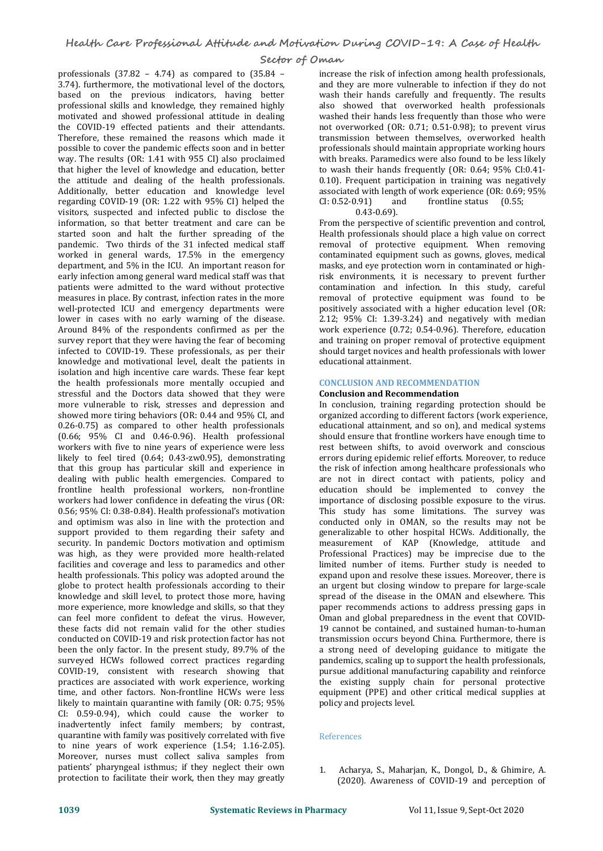professionals  $(37.82 - 4.74)$  as compared to  $(35.84 - 3.74)$ . furthermore, the motivational level of the doctors, based on the previous indicators, having better professional skills and knowledge, they remained highly motivated and showed professional attitude in dealing the COVID-19 effected patients and their attendants. Therefore, these remained the reasons which made it possible to cover the pandemic effects soon and in better way. The results (OR: 1.41 with 955 CI) also proclaimed that higher the level of knowledge and education, better<br>the attitude and dealing of the health professionals. Additionally, better education and knowledge level associated with regarding COVID-19 (OR: 1.22 with 95% CI) helped the CI: 0.52-0.91) regarding COVID-19 (OR: 1.22 with 95% CI) helped the visitors, suspected and infected public to disclose the information, so that better treatment and care can be started soon and halt the further spreading of the pandemic. Two thirds of the 31 infected medical staff worked in general wards, 17.5% in the emergency department, and 5% in the ICU. An important reason for early infection among general ward medical staff was that patients were admitted to the ward without protective measures in place. By contrast, infection rates in the more well-protected ICU and emergency departments were lower in cases with no early warning of the disease. Around 84% of the respondents confirmed as per the survey report that they were having the fear of becoming infected to COVID-19. These professionals, as per their knowledge and motivational level, dealt the patients in isolation and high incentive care wards. These fear kept the health professionals more mentally occupied and stressful and the Doctors data showed that they were more vulnerable to risk, stresses and depression and showed more tiring behaviors (OR: 0.44 and 95% CI, and 0.26-0.75) as compared to other health professionals (0.66; 95% CI and 0.46-0.96). Health professional workers with five to nine years of experience were less likely to feel tired (0.64; 0.43-zw0.95), demonstrating that this group has particular skill and experience in dealing with public health emergencies. Compared to frontline health professional workers, non-frontline workers had lower confidence in defeating the virus (OR: 0.56; 95% CI: 0.38-0.84). Health professional's motivation and optimism was also in line with the protection and support provided to them regarding their safety and security. In pandemic Doctors motivation and optimism was high, as they were provided more health-related facilities and coverage and less to paramedics and other health professionals. This policy was adopted around the globe to protect health professionals according to their knowledge and skill level, to protect those more, having more experience, more knowledge and skills, so that they can feel more confident to defeat the virus. However, these facts did not remain valid for the other studies and contained, and sustained human-to-human conducted on COVID-19 and risk protection factor has not transmission occurs beyond China. Furthermore, there is conducted on COVID-19 and risk protection factor has not been the only factor. In the present study, 89.7% of the surveyed HCWs followed correct practices regarding COVID-19, consistent with research showing that practices are associated with work experience, working time, and other factors. Non-frontline HCWs were less likely to maintain quarantine with family (OR: 0.75; 95% CI: 0.59-0.94), which could cause the worker to inadvertently infect family members; by contrast, quarantine with family was positively correlated with five to nine years of work experience (1.54; 1.16-2.05). Moreover, nurses must collect saliva samples from patients' pharyngeal isthmus; if they neglect their own protection to facilitate their work, then they may greatly

increase the risk of infection among health professionals, and they are more vulnerable to infection if they do not wash their hands carefully and frequently. The results also showed that overworked health professionals washed their hands less frequently than those who were not overworked (OR: 0.71; 0.51-0.98); to prevent virus transmission between themselves, overworked health professionals should maintain appropriate working hours with breaks. Paramedics were also found to be less likely to wash their hands frequently (OR: 0.64; 95% CI:0.41- 0.10). Frequent participation in training was negatively associated with length of work experience (OR: 0.69; 95%<br>CI: 0.52-0.91) and frontline status (0.55; frontline status 0.43-0.69).

From the perspective of scientific prevention and control, Health professionals should place a high value on correct removal of protective equipment. When removing contaminated equipment such as gowns, gloves, medical masks, and eye protection worn in contaminated or high risk environments, it is necessary to prevent further contamination and infection. In this study, careful removal of protective equipment was found to be positively associated with a higher education level (OR: 2.12; 95% CI: 1.39-3.24) and negatively with median work experience (0.72; 0.54-0.96). Therefore, education and training on proper removal of protective equipment should target novices and health professionals with lower educational attainment.

## **CONCLUSION AND RECOMMENDATION**

## **Conclusion and Recommendation**

In conclusion, training regarding protection should be organized according to different factors (work experience, educational attainment, and so on), and medical systems should ensure that frontline workers have enough time to rest between shifts, to avoid overwork and conscious errors during epidemic relief efforts. Moreover, to reduce the risk of infection among healthcare professionals who are not in direct contact with patients, policy and education should be implemented to convey the importance of disclosing possible exposure to the virus. This study has some limitations. The survey was conducted only in OMAN, so the results may not be generalizable to other hospital HCWs. Additionally, the measurement of KAP (Knowledge, attitude and Professional Practices) may be imprecise due to the limited number of items. Further study is needed to expand upon and resolve these issues. Moreover, there is an urgent but closing window to prepare for large-scale spread of the disease in the OMAN and elsewhere. This paper recommends actions to address pressing gaps in Oman and global preparedness in the event that COVID- 19 cannot be contained, and sustained human-to-human a strong need of developing guidance to mitigate the pandemics, scaling up to support the health professionals, pursue additional manufacturing capability and reinforce the existing supply chain for personal protective equipment (PPE) and other critical medical supplies at policy and projects level.

## References

1. Acharya, S., Maharjan, K., Dongol, D., & Ghimire, A. (2020). Awareness of COVID-19 and perception of